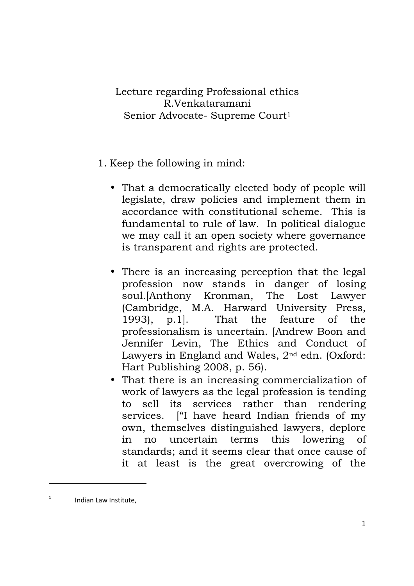Lecture regarding Professional ethics R.Venkataramani Senior Advocate- Supreme Court<sup>1</sup>

- 1. Keep the following in mind:
	- That a democratically elected body of people will legislate, draw policies and implement them in accordance with constitutional scheme. This is fundamental to rule of law. In political dialogue we may call it an open society where governance is transparent and rights are protected.
	- There is an increasing perception that the legal profession now stands in danger of losing soul.[Anthony Kronman, The Lost Lawyer (Cambridge, M.A. Harward University Press, 1993), p.1]. That the feature of the professionalism is uncertain. [Andrew Boon and Jennifer Levin, The Ethics and Conduct of Lawyers in England and Wales, 2nd edn. (Oxford: Hart Publishing 2008, p. 56).
	- That there is an increasing commercialization of work of lawyers as the legal profession is tending to sell its services rather than rendering services. ["I have heard Indian friends of my own, themselves distinguished lawyers, deplore in no uncertain terms this lowering of standards; and it seems clear that once cause of it at least is the great overcrowing of the

<sup>1</sup>Indian Law Institute,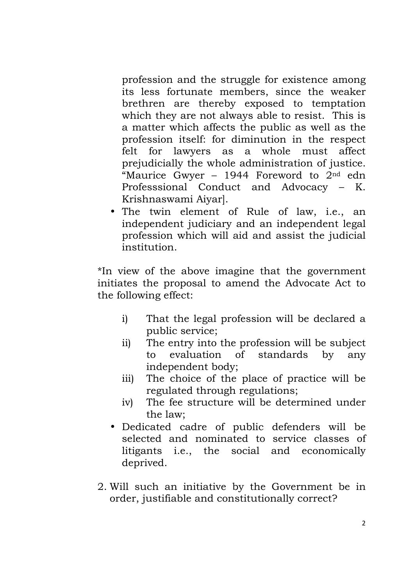profession and the struggle for existence among its less fortunate members, since the weaker brethren are thereby exposed to temptation which they are not always able to resist. This is a matter which affects the public as well as the profession itself: for diminution in the respect felt for lawyers as a whole must affect prejudicially the whole administration of justice. "Maurice Gwyer - 1944 Foreword to  $2<sup>nd</sup>$  edn Professsional Conduct and Advocacy – K. Krishnaswami Aiyar].

• The twin element of Rule of law, i.e., an independent judiciary and an independent legal profession which will aid and assist the judicial institution.

\*In view of the above imagine that the government initiates the proposal to amend the Advocate Act to the following effect:

- i) That the legal profession will be declared a public service;
- ii) The entry into the profession will be subject to evaluation of standards by any independent body;
- iii) The choice of the place of practice will be regulated through regulations;
- iv) The fee structure will be determined under the law;
- Dedicated cadre of public defenders will be selected and nominated to service classes of litigants i.e., the social and economically deprived.
- 2. Will such an initiative by the Government be in order, justifiable and constitutionally correct?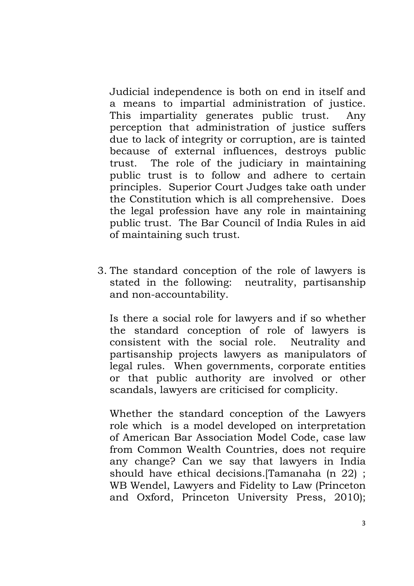Judicial independence is both on end in itself and a means to impartial administration of justice. This impartiality generates public trust. Any perception that administration of justice suffers due to lack of integrity or corruption, are is tainted because of external influences, destroys public trust. The role of the judiciary in maintaining public trust is to follow and adhere to certain principles. Superior Court Judges take oath under the Constitution which is all comprehensive. Does the legal profession have any role in maintaining public trust. The Bar Council of India Rules in aid of maintaining such trust.

3. The standard conception of the role of lawyers is stated in the following: neutrality, partisanship and non-accountability.

Is there a social role for lawyers and if so whether the standard conception of role of lawyers is consistent with the social role. Neutrality and partisanship projects lawyers as manipulators of legal rules. When governments, corporate entities or that public authority are involved or other scandals, lawyers are criticised for complicity.

Whether the standard conception of the Lawyers role which is a model developed on interpretation of American Bar Association Model Code, case law from Common Wealth Countries, does not require any change? Can we say that lawyers in India should have ethical decisions.[Tamanaha (n 22) ; WB Wendel, Lawyers and Fidelity to Law (Princeton and Oxford, Princeton University Press, 2010);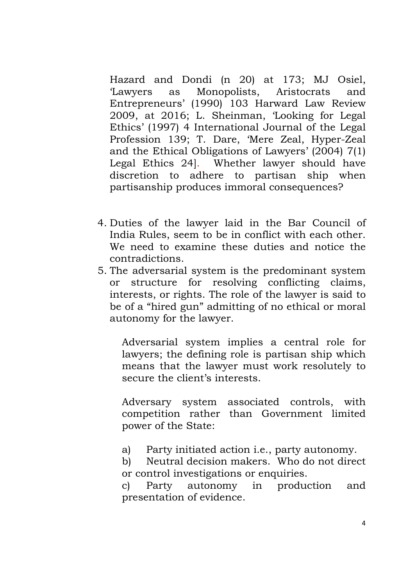Hazard and Dondi (n 20) at 173; MJ Osiel, 'Lawyers as Monopolists, Aristocrats and Entrepreneurs' (1990) 103 Harward Law Review 2009, at 2016; L. Sheinman, 'Looking for Legal Ethics' (1997) 4 International Journal of the Legal Profession 139; T. Dare, 'Mere Zeal, Hyper-Zeal and the Ethical Obligations of Lawyers' (2004) 7(1) Legal Ethics 24]. Whether lawyer should have discretion to adhere to partisan ship when partisanship produces immoral consequences?

- 4. Duties of the lawyer laid in the Bar Council of India Rules, seem to be in conflict with each other. We need to examine these duties and notice the contradictions.
- 5. The adversarial system is the predominant system or structure for resolving conflicting claims, interests, or rights. The role of the lawyer is said to be of a "hired gun" admitting of no ethical or moral autonomy for the lawyer.

Adversarial system implies a central role for lawyers; the defining role is partisan ship which means that the lawyer must work resolutely to secure the client's interests.

Adversary system associated controls, with competition rather than Government limited power of the State:

- a) Party initiated action i.e., party autonomy.
- b) Neutral decision makers. Who do not direct or control investigations or enquiries.

c) Party autonomy in production and presentation of evidence.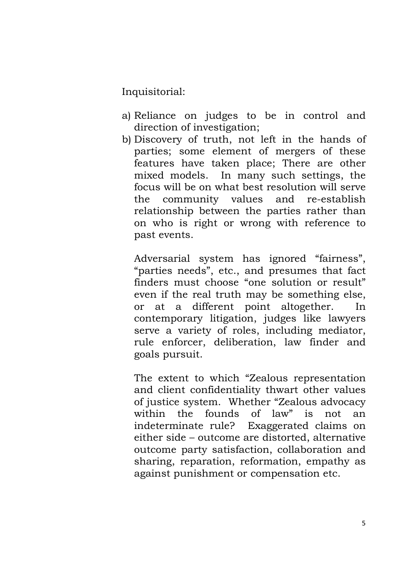Inquisitorial:

- a) Reliance on judges to be in control and direction of investigation;
- b) Discovery of truth, not left in the hands of parties; some element of mergers of these features have taken place; There are other mixed models. In many such settings, the focus will be on what best resolution will serve the community values and re-establish relationship between the parties rather than on who is right or wrong with reference to past events.

Adversarial system has ignored "fairness", "parties needs", etc., and presumes that fact finders must choose "one solution or result" even if the real truth may be something else, or at a different point altogether. In contemporary litigation, judges like lawyers serve a variety of roles, including mediator, rule enforcer, deliberation, law finder and goals pursuit.

The extent to which "Zealous representation and client confidentiality thwart other values of justice system. Whether "Zealous advocacy within the founds of law" is not an indeterminate rule? Exaggerated claims on either side – outcome are distorted, alternative outcome party satisfaction, collaboration and sharing, reparation, reformation, empathy as against punishment or compensation etc.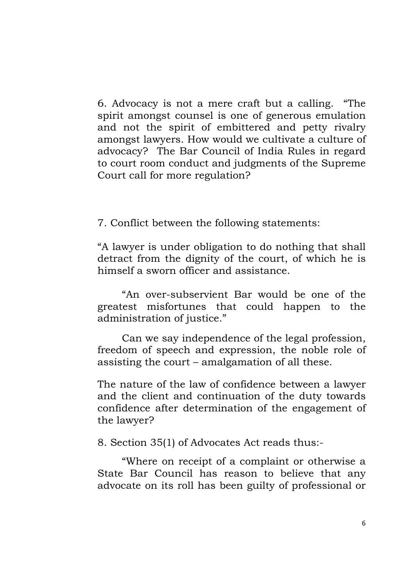6. Advocacy is not a mere craft but a calling. "The spirit amongst counsel is one of generous emulation and not the spirit of embittered and petty rivalry amongst lawyers. How would we cultivate a culture of advocacy? The Bar Council of India Rules in regard to court room conduct and judgments of the Supreme Court call for more regulation?

7. Conflict between the following statements:

 "A lawyer is under obligation to do nothing that shall detract from the dignity of the court, of which he is himself a sworn officer and assistance.

"An over-subservient Bar would be one of the greatest misfortunes that could happen to the administration of justice."

Can we say independence of the legal profession, freedom of speech and expression, the noble role of assisting the court – amalgamation of all these.

 The nature of the law of confidence between a lawyer and the client and continuation of the duty towards confidence after determination of the engagement of the lawyer?

8. Section 35(1) of Advocates Act reads thus:-

"Where on receipt of a complaint or otherwise a State Bar Council has reason to believe that any advocate on its roll has been guilty of professional or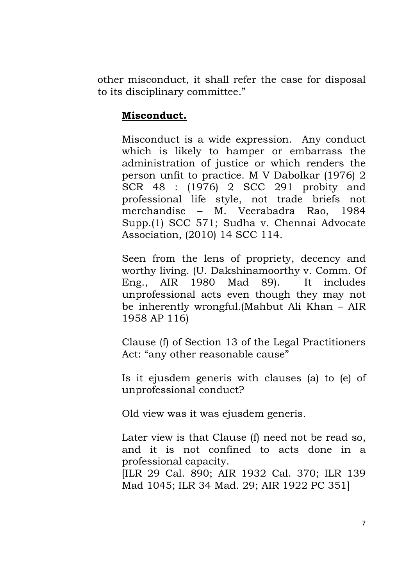other misconduct, it shall refer the case for disposal to its disciplinary committee."

## **Misconduct.**

Misconduct is a wide expression. Any conduct which is likely to hamper or embarrass the administration of justice or which renders the person unfit to practice. M V Dabolkar (1976) 2 SCR 48 : (1976) 2 SCC 291 probity and professional life style, not trade briefs not merchandise – M. Veerabadra Rao, 1984 Supp.(1) SCC 571; Sudha v. Chennai Advocate Association, (2010) 14 SCC 114.

Seen from the lens of propriety, decency and worthy living. (U. Dakshinamoorthy v. Comm. Of Eng., AIR 1980 Mad 89). It includes unprofessional acts even though they may not be inherently wrongful.(Mahbut Ali Khan – AIR 1958 AP 116)

Clause (f) of Section 13 of the Legal Practitioners Act: "any other reasonable cause"

Is it ejusdem generis with clauses (a) to (e) of unprofessional conduct?

Old view was it was ejusdem generis.

Later view is that Clause (f) need not be read so, and it is not confined to acts done in a professional capacity.

[ILR 29 Cal. 890; AIR 1932 Cal. 370; ILR 139 Mad 1045; ILR 34 Mad. 29; AIR 1922 PC 351]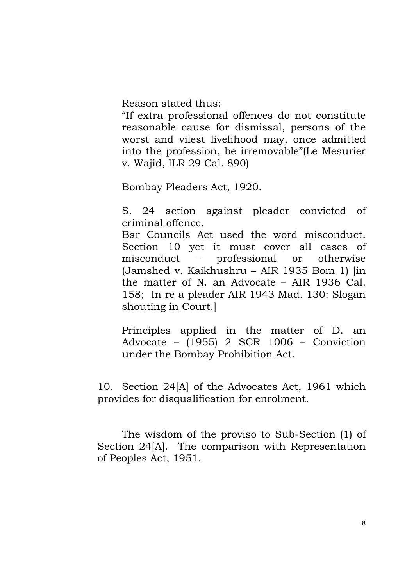Reason stated thus:

"If extra professional offences do not constitute reasonable cause for dismissal, persons of the worst and vilest livelihood may, once admitted into the profession, be irremovable"(Le Mesurier v. Wajid, ILR 29 Cal. 890)

Bombay Pleaders Act, 1920.

S. 24 action against pleader convicted of criminal offence.

Bar Councils Act used the word misconduct. Section 10 yet it must cover all cases of misconduct – professional or otherwise (Jamshed v. Kaikhushru – AIR 1935 Bom 1) [in the matter of N. an Advocate – AIR 1936 Cal. 158; In re a pleader AIR 1943 Mad. 130: Slogan shouting in Court.]

Principles applied in the matter of D. an Advocate – (1955) 2 SCR 1006 – Conviction under the Bombay Prohibition Act.

 10. Section 24[A] of the Advocates Act, 1961 which provides for disqualification for enrolment.

The wisdom of the proviso to Sub-Section (1) of Section 24[A]. The comparison with Representation of Peoples Act, 1951.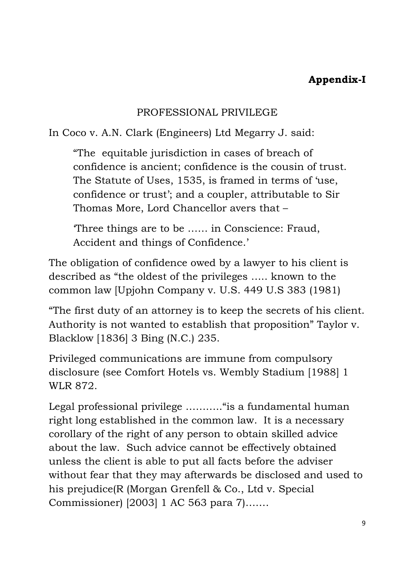# **Appendix-I**

# PROFESSIONAL PRIVILEGE

In Coco v. A.N. Clark (Engineers) Ltd Megarry J. said:

"The equitable jurisdiction in cases of breach of confidence is ancient; confidence is the cousin of trust. The Statute of Uses, 1535, is framed in terms of 'use, confidence or trust'; and a coupler, attributable to Sir Thomas More, Lord Chancellor avers that –

'Three things are to be …… in Conscience: Fraud, Accident and things of Confidence.'

The obligation of confidence owed by a lawyer to his client is described as "the oldest of the privileges ….. known to the common law [Upjohn Company v. U.S. 449 U.S 383 (1981)

"The first duty of an attorney is to keep the secrets of his client. Authority is not wanted to establish that proposition" Taylor v. Blacklow [1836] 3 Bing (N.C.) 235.

Privileged communications are immune from compulsory disclosure (see Comfort Hotels vs. Wembly Stadium [1988] 1 WLR 872.

Legal professional privilege ............" is a fundamental human right long established in the common law. It is a necessary corollary of the right of any person to obtain skilled advice about the law. Such advice cannot be effectively obtained unless the client is able to put all facts before the adviser without fear that they may afterwards be disclosed and used to his prejudice(R (Morgan Grenfell & Co., Ltd v. Special Commissioner) [2003] 1 AC 563 para 7)…….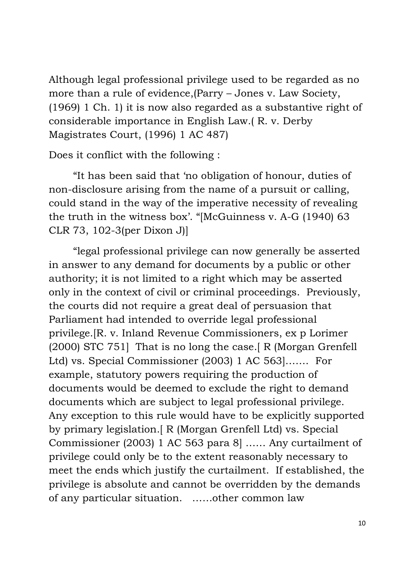Although legal professional privilege used to be regarded as no more than a rule of evidence,(Parry – Jones v. Law Society, (1969) 1 Ch. 1) it is now also regarded as a substantive right of considerable importance in English Law.( R. v. Derby Magistrates Court, (1996) 1 AC 487)

Does it conflict with the following :

 "It has been said that 'no obligation of honour, duties of non-disclosure arising from the name of a pursuit or calling, could stand in the way of the imperative necessity of revealing the truth in the witness box'. "[McGuinness v. A-G (1940) 63 CLR 73, 102-3(per Dixon J)]

 "legal professional privilege can now generally be asserted in answer to any demand for documents by a public or other authority; it is not limited to a right which may be asserted only in the context of civil or criminal proceedings. Previously, the courts did not require a great deal of persuasion that Parliament had intended to override legal professional privilege.[R. v. Inland Revenue Commissioners, ex p Lorimer (2000) STC 751] That is no long the case.[ R (Morgan Grenfell Ltd) vs. Special Commissioner (2003) 1 AC 563]……. For example, statutory powers requiring the production of documents would be deemed to exclude the right to demand documents which are subject to legal professional privilege. Any exception to this rule would have to be explicitly supported by primary legislation.[ R (Morgan Grenfell Ltd) vs. Special Commissioner (2003) 1 AC 563 para 8] …… Any curtailment of privilege could only be to the extent reasonably necessary to meet the ends which justify the curtailment. If established, the privilege is absolute and cannot be overridden by the demands of any particular situation. ……other common law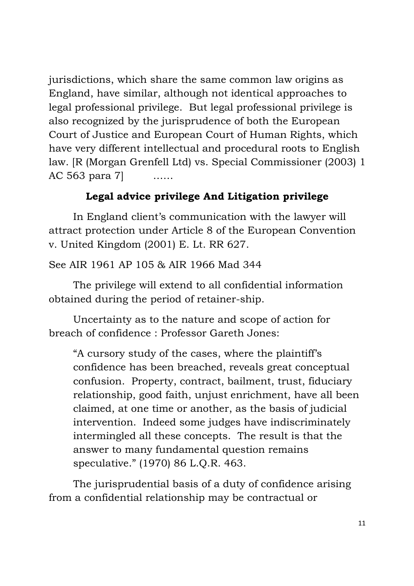jurisdictions, which share the same common law origins as England, have similar, although not identical approaches to legal professional privilege. But legal professional privilege is also recognized by the jurisprudence of both the European Court of Justice and European Court of Human Rights, which have very different intellectual and procedural roots to English law. [R (Morgan Grenfell Ltd) vs. Special Commissioner (2003) 1 AC 563 para 7]

# **Legal advice privilege And Litigation privilege**

 In England client's communication with the lawyer will attract protection under Article 8 of the European Convention v. United Kingdom (2001) E. Lt. RR 627.

See AIR 1961 AP 105 & AIR 1966 Mad 344

 The privilege will extend to all confidential information obtained during the period of retainer-ship.

 Uncertainty as to the nature and scope of action for breach of confidence : Professor Gareth Jones:

"A cursory study of the cases, where the plaintiff's confidence has been breached, reveals great conceptual confusion. Property, contract, bailment, trust, fiduciary relationship, good faith, unjust enrichment, have all been claimed, at one time or another, as the basis of judicial intervention. Indeed some judges have indiscriminately intermingled all these concepts. The result is that the answer to many fundamental question remains speculative." (1970) 86 L.Q.R. 463.

 The jurisprudential basis of a duty of confidence arising from a confidential relationship may be contractual or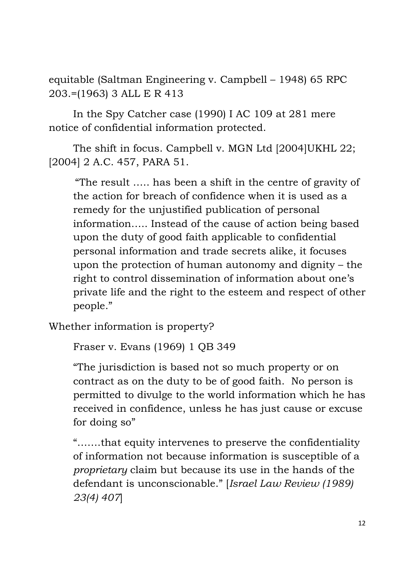equitable (Saltman Engineering v. Campbell – 1948) 65 RPC 203.=(1963) 3 ALL E R 413

In the Spy Catcher case (1990) I AC 109 at 281 mere notice of confidential information protected.

The shift in focus. Campbell v. MGN Ltd [2004]UKHL 22; [2004] 2 A.C. 457, PARA 51.

"The result ….. has been a shift in the centre of gravity of the action for breach of confidence when it is used as a remedy for the unjustified publication of personal information….. Instead of the cause of action being based upon the duty of good faith applicable to confidential personal information and trade secrets alike, it focuses upon the protection of human autonomy and dignity – the right to control dissemination of information about one's private life and the right to the esteem and respect of other people."

Whether information is property?

Fraser v. Evans (1969) 1 QB 349

"The jurisdiction is based not so much property or on contract as on the duty to be of good faith. No person is permitted to divulge to the world information which he has received in confidence, unless he has just cause or excuse for doing so"

"…….that equity intervenes to preserve the confidentiality of information not because information is susceptible of a *proprietary* claim but because its use in the hands of the defendant is unconscionable." [*Israel Law Review (1989) 23(4) 407*]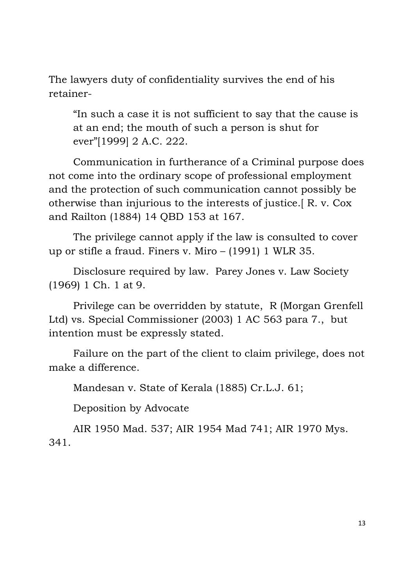The lawyers duty of confidentiality survives the end of his retainer-

"In such a case it is not sufficient to say that the cause is at an end; the mouth of such a person is shut for ever"[1999] 2 A.C. 222.

Communication in furtherance of a Criminal purpose does not come into the ordinary scope of professional employment and the protection of such communication cannot possibly be otherwise than injurious to the interests of justice.[ R. v. Cox and Railton (1884) 14 QBD 153 at 167.

The privilege cannot apply if the law is consulted to cover up or stifle a fraud. Finers v. Miro – (1991) 1 WLR 35.

Disclosure required by law. Parey Jones v. Law Society (1969) 1 Ch. 1 at 9.

Privilege can be overridden by statute, R (Morgan Grenfell Ltd) vs. Special Commissioner (2003) 1 AC 563 para 7., but intention must be expressly stated.

 Failure on the part of the client to claim privilege, does not make a difference.

Mandesan v. State of Kerala (1885) Cr.L.J. 61;

Deposition by Advocate

 AIR 1950 Mad. 537; AIR 1954 Mad 741; AIR 1970 Mys. 341.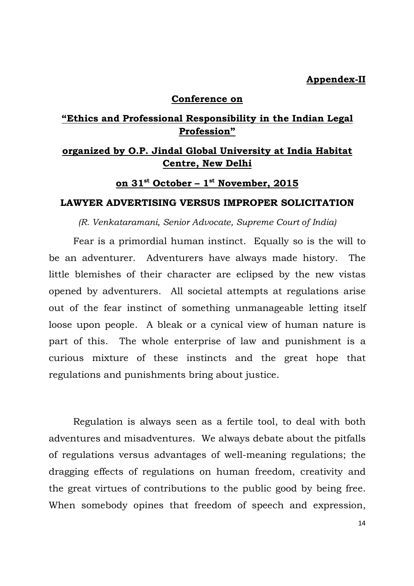### **Appendex-II**

### **Conference on**

## **"Ethics and Professional Responsibility in the Indian Legal Profession"**

# **organized by O.P. Jindal Global University at India Habitat Centre, New Delhi**

## **on 31st October – 1st November, 2015**

### **LAWYER ADVERTISING VERSUS IMPROPER SOLICITATION**

*(R. Venkataramani, Senior Advocate, Supreme Court of India)* 

 Fear is a primordial human instinct. Equally so is the will to be an adventurer. Adventurers have always made history. The little blemishes of their character are eclipsed by the new vistas opened by adventurers. All societal attempts at regulations arise out of the fear instinct of something unmanageable letting itself loose upon people. A bleak or a cynical view of human nature is part of this. The whole enterprise of law and punishment is a curious mixture of these instincts and the great hope that regulations and punishments bring about justice.

 Regulation is always seen as a fertile tool, to deal with both adventures and misadventures. We always debate about the pitfalls of regulations versus advantages of well-meaning regulations; the dragging effects of regulations on human freedom, creativity and the great virtues of contributions to the public good by being free. When somebody opines that freedom of speech and expression,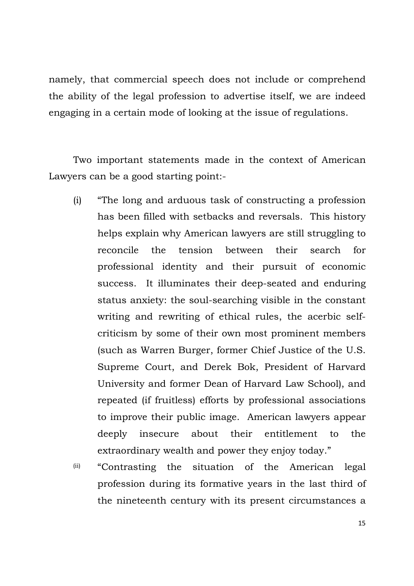namely, that commercial speech does not include or comprehend the ability of the legal profession to advertise itself, we are indeed engaging in a certain mode of looking at the issue of regulations.

 Two important statements made in the context of American Lawyers can be a good starting point:-

- (i) "The long and arduous task of constructing a profession has been filled with setbacks and reversals. This history helps explain why American lawyers are still struggling to reconcile the tension between their search for professional identity and their pursuit of economic success. It illuminates their deep-seated and enduring status anxiety: the soul-searching visible in the constant writing and rewriting of ethical rules, the acerbic selfcriticism by some of their own most prominent members (such as Warren Burger, former Chief Justice of the U.S. Supreme Court, and Derek Bok, President of Harvard University and former Dean of Harvard Law School), and repeated (if fruitless) efforts by professional associations to improve their public image. American lawyers appear deeply insecure about their entitlement to the extraordinary wealth and power they enjoy today."
- (ii) "Contrasting the situation of the American legal profession during its formative years in the last third of the nineteenth century with its present circumstances a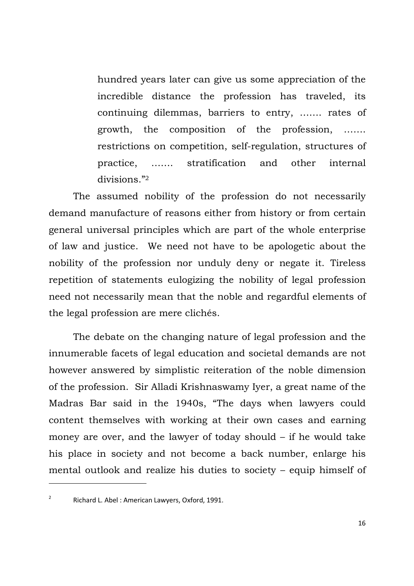hundred years later can give us some appreciation of the incredible distance the profession has traveled, its continuing dilemmas, barriers to entry, ……. rates of growth, the composition of the profession, ……. restrictions on competition, self-regulation, structures of practice, ……. stratification and other internal divisions."<sup>2</sup>

The assumed nobility of the profession do not necessarily demand manufacture of reasons either from history or from certain general universal principles which are part of the whole enterprise of law and justice. We need not have to be apologetic about the nobility of the profession nor unduly deny or negate it. Tireless repetition of statements eulogizing the nobility of legal profession need not necessarily mean that the noble and regardful elements of the legal profession are mere clichés.

The debate on the changing nature of legal profession and the innumerable facets of legal education and societal demands are not however answered by simplistic reiteration of the noble dimension of the profession. Sir Alladi Krishnaswamy Iyer, a great name of the Madras Bar said in the 1940s, "The days when lawyers could content themselves with working at their own cases and earning money are over, and the lawyer of today should – if he would take his place in society and not become a back number, enlarge his mental outlook and realize his duties to society – equip himself of

<sup>&</sup>lt;sup>2</sup> Richard L. Abel : American Lawyers, Oxford, 1991.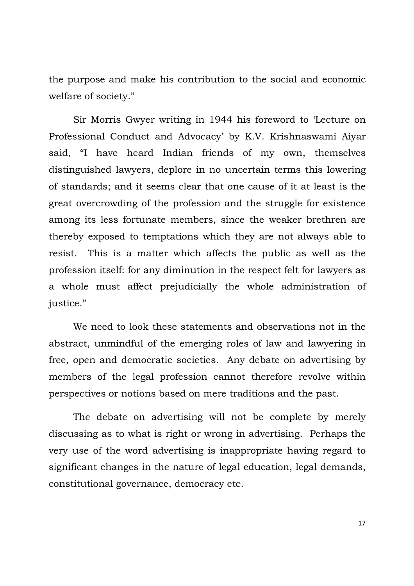the purpose and make his contribution to the social and economic welfare of society."

Sir Morris Gwyer writing in 1944 his foreword to 'Lecture on Professional Conduct and Advocacy' by K.V. Krishnaswami Aiyar said, "I have heard Indian friends of my own, themselves distinguished lawyers, deplore in no uncertain terms this lowering of standards; and it seems clear that one cause of it at least is the great overcrowding of the profession and the struggle for existence among its less fortunate members, since the weaker brethren are thereby exposed to temptations which they are not always able to resist. This is a matter which affects the public as well as the profession itself: for any diminution in the respect felt for lawyers as a whole must affect prejudicially the whole administration of justice."

We need to look these statements and observations not in the abstract, unmindful of the emerging roles of law and lawyering in free, open and democratic societies. Any debate on advertising by members of the legal profession cannot therefore revolve within perspectives or notions based on mere traditions and the past.

The debate on advertising will not be complete by merely discussing as to what is right or wrong in advertising. Perhaps the very use of the word advertising is inappropriate having regard to significant changes in the nature of legal education, legal demands, constitutional governance, democracy etc.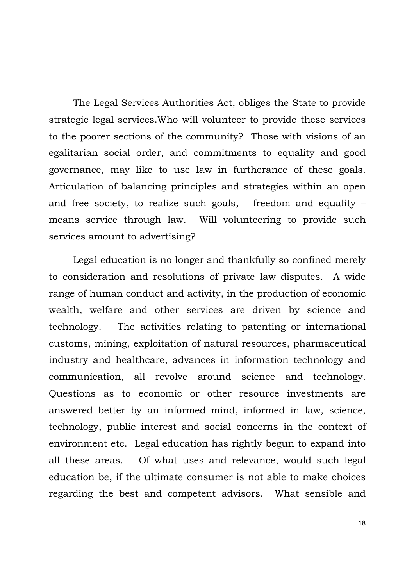The Legal Services Authorities Act, obliges the State to provide strategic legal services.Who will volunteer to provide these services to the poorer sections of the community? Those with visions of an egalitarian social order, and commitments to equality and good governance, may like to use law in furtherance of these goals. Articulation of balancing principles and strategies within an open and free society, to realize such goals, - freedom and equality – means service through law. Will volunteering to provide such services amount to advertising?

Legal education is no longer and thankfully so confined merely to consideration and resolutions of private law disputes. A wide range of human conduct and activity, in the production of economic wealth, welfare and other services are driven by science and technology. The activities relating to patenting or international customs, mining, exploitation of natural resources, pharmaceutical industry and healthcare, advances in information technology and communication, all revolve around science and technology. Questions as to economic or other resource investments are answered better by an informed mind, informed in law, science, technology, public interest and social concerns in the context of environment etc. Legal education has rightly begun to expand into all these areas. Of what uses and relevance, would such legal education be, if the ultimate consumer is not able to make choices regarding the best and competent advisors. What sensible and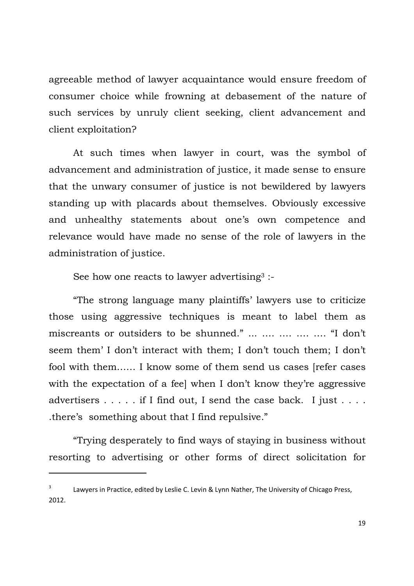agreeable method of lawyer acquaintance would ensure freedom of consumer choice while frowning at debasement of the nature of such services by unruly client seeking, client advancement and client exploitation?

At such times when lawyer in court, was the symbol of advancement and administration of justice, it made sense to ensure that the unwary consumer of justice is not bewildered by lawyers standing up with placards about themselves. Obviously excessive and unhealthy statements about one's own competence and relevance would have made no sense of the role of lawyers in the administration of justice.

See how one reacts to lawyer advertising<sup>3</sup>:

"The strong language many plaintiffs' lawyers use to criticize those using aggressive techniques is meant to label them as miscreants or outsiders to be shunned." ... …. …. …. …. "I don't seem them' I don't interact with them; I don't touch them; I don't fool with them…… I know some of them send us cases [refer cases with the expectation of a feel when I don't know they're aggressive advertisers . . . . . if I find out, I send the case back. I just . . . . .there's something about that I find repulsive."

"Trying desperately to find ways of staying in business without resorting to advertising or other forms of direct solicitation for

Lawyers in Practice, edited by Leslie C. Levin & Lynn Nather, The University of Chicago Press, 2012.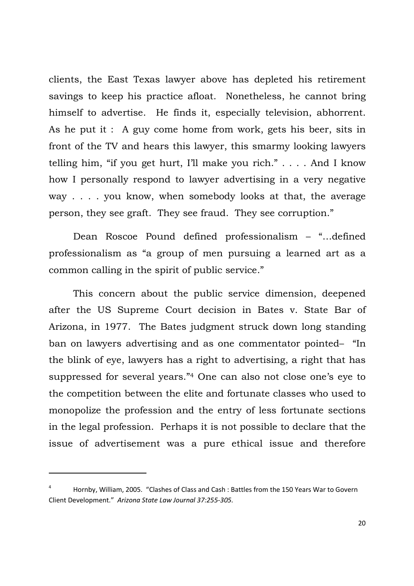clients, the East Texas lawyer above has depleted his retirement savings to keep his practice afloat. Nonetheless, he cannot bring himself to advertise. He finds it, especially television, abhorrent. As he put it : A guy come home from work, gets his beer, sits in front of the TV and hears this lawyer, this smarmy looking lawyers telling him, "if you get hurt, I'll make you rich." . . . . And I know how I personally respond to lawyer advertising in a very negative way . . . . you know, when somebody looks at that, the average person, they see graft. They see fraud. They see corruption."

Dean Roscoe Pound defined professionalism – "…defined professionalism as "a group of men pursuing a learned art as a common calling in the spirit of public service."

This concern about the public service dimension, deepened after the US Supreme Court decision in Bates v. State Bar of Arizona, in 1977. The Bates judgment struck down long standing ban on lawyers advertising and as one commentator pointed– "In the blink of eye, lawyers has a right to advertising, a right that has suppressed for several years."4 One can also not close one's eye to the competition between the elite and fortunate classes who used to monopolize the profession and the entry of less fortunate sections in the legal profession. Perhaps it is not possible to declare that the issue of advertisement was a pure ethical issue and therefore

Hornby, William, 2005. "Clashes of Class and Cash : Battles from the 150 Years War to Govern Client Development." *Arizona State Law Journal 37:255-305.*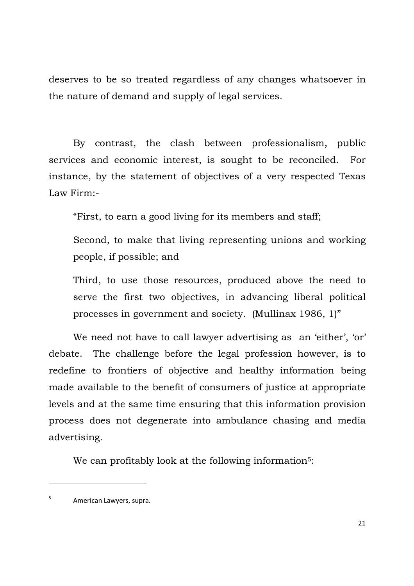deserves to be so treated regardless of any changes whatsoever in the nature of demand and supply of legal services.

By contrast, the clash between professionalism, public services and economic interest, is sought to be reconciled. For instance, by the statement of objectives of a very respected Texas Law Firm:-

"First, to earn a good living for its members and staff;

Second, to make that living representing unions and working people, if possible; and

Third, to use those resources, produced above the need to serve the first two objectives, in advancing liberal political processes in government and society. (Mullinax 1986, 1)"

We need not have to call lawyer advertising as an 'either', 'or' debate. The challenge before the legal profession however, is to redefine to frontiers of objective and healthy information being made available to the benefit of consumers of justice at appropriate levels and at the same time ensuring that this information provision process does not degenerate into ambulance chasing and media advertising.

We can profitably look at the following information<sup>5</sup>:

 $5$  American Lawyers, supra.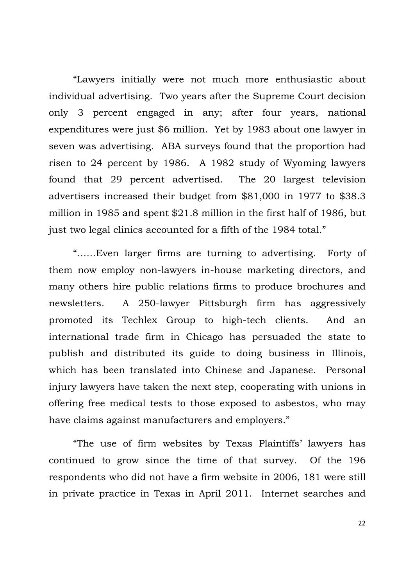"Lawyers initially were not much more enthusiastic about individual advertising. Two years after the Supreme Court decision only 3 percent engaged in any; after four years, national expenditures were just \$6 million. Yet by 1983 about one lawyer in seven was advertising. ABA surveys found that the proportion had risen to 24 percent by 1986. A 1982 study of Wyoming lawyers found that 29 percent advertised. The 20 largest television advertisers increased their budget from \$81,000 in 1977 to \$38.3 million in 1985 and spent \$21.8 million in the first half of 1986, but just two legal clinics accounted for a fifth of the 1984 total."

"……Even larger firms are turning to advertising. Forty of them now employ non-lawyers in-house marketing directors, and many others hire public relations firms to produce brochures and newsletters. A 250-lawyer Pittsburgh firm has aggressively promoted its Techlex Group to high-tech clients. And an international trade firm in Chicago has persuaded the state to publish and distributed its guide to doing business in Illinois, which has been translated into Chinese and Japanese. Personal injury lawyers have taken the next step, cooperating with unions in offering free medical tests to those exposed to asbestos, who may have claims against manufacturers and employers."

"The use of firm websites by Texas Plaintiffs' lawyers has continued to grow since the time of that survey. Of the 196 respondents who did not have a firm website in 2006, 181 were still in private practice in Texas in April 2011. Internet searches and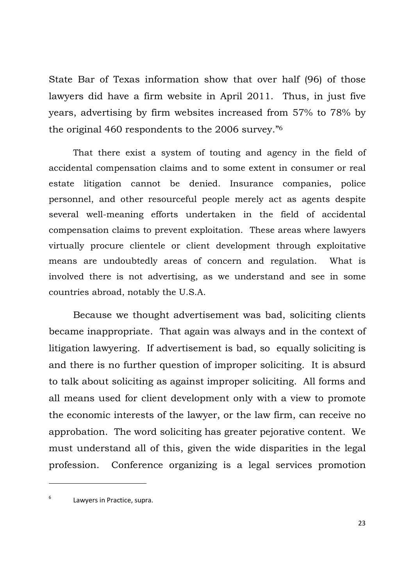State Bar of Texas information show that over half (96) of those lawyers did have a firm website in April 2011. Thus, in just five years, advertising by firm websites increased from 57% to 78% by the original 460 respondents to the 2006 survey."<sup>6</sup>

That there exist a system of touting and agency in the field of accidental compensation claims and to some extent in consumer or real estate litigation cannot be denied. Insurance companies, police personnel, and other resourceful people merely act as agents despite several well-meaning efforts undertaken in the field of accidental compensation claims to prevent exploitation. These areas where lawyers virtually procure clientele or client development through exploitative means are undoubtedly areas of concern and regulation. What is involved there is not advertising, as we understand and see in some countries abroad, notably the U.S.A.

Because we thought advertisement was bad, soliciting clients became inappropriate. That again was always and in the context of litigation lawyering. If advertisement is bad, so equally soliciting is and there is no further question of improper soliciting. It is absurd to talk about soliciting as against improper soliciting. All forms and all means used for client development only with a view to promote the economic interests of the lawyer, or the law firm, can receive no approbation. The word soliciting has greater pejorative content. We must understand all of this, given the wide disparities in the legal profession. Conference organizing is a legal services promotion

<sup>6</sup>Lawyers in Practice, supra.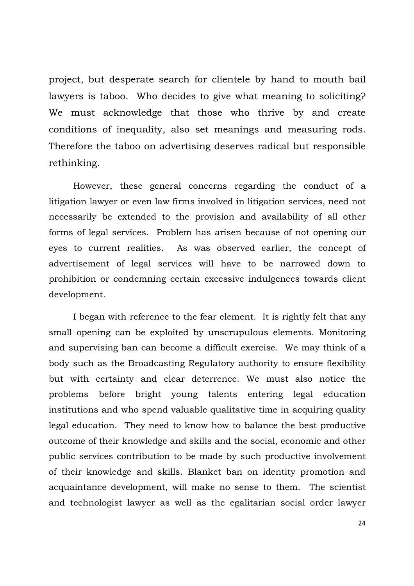project, but desperate search for clientele by hand to mouth bail lawyers is taboo. Who decides to give what meaning to soliciting? We must acknowledge that those who thrive by and create conditions of inequality, also set meanings and measuring rods. Therefore the taboo on advertising deserves radical but responsible rethinking.

However, these general concerns regarding the conduct of a litigation lawyer or even law firms involved in litigation services, need not necessarily be extended to the provision and availability of all other forms of legal services. Problem has arisen because of not opening our eyes to current realities. As was observed earlier, the concept of advertisement of legal services will have to be narrowed down to prohibition or condemning certain excessive indulgences towards client development.

I began with reference to the fear element. It is rightly felt that any small opening can be exploited by unscrupulous elements. Monitoring and supervising ban can become a difficult exercise. We may think of a body such as the Broadcasting Regulatory authority to ensure flexibility but with certainty and clear deterrence. We must also notice the problems before bright young talents entering legal education institutions and who spend valuable qualitative time in acquiring quality legal education. They need to know how to balance the best productive outcome of their knowledge and skills and the social, economic and other public services contribution to be made by such productive involvement of their knowledge and skills. Blanket ban on identity promotion and acquaintance development, will make no sense to them. The scientist and technologist lawyer as well as the egalitarian social order lawyer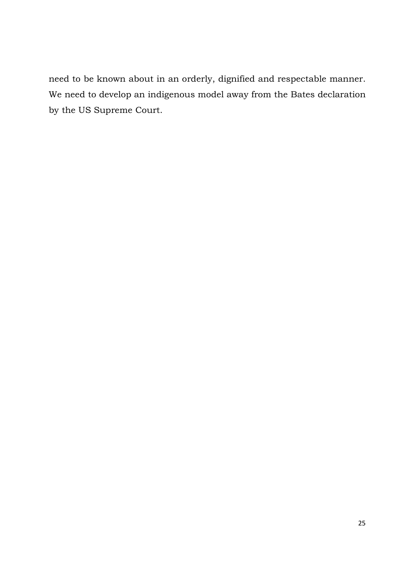need to be known about in an orderly, dignified and respectable manner. We need to develop an indigenous model away from the Bates declaration by the US Supreme Court.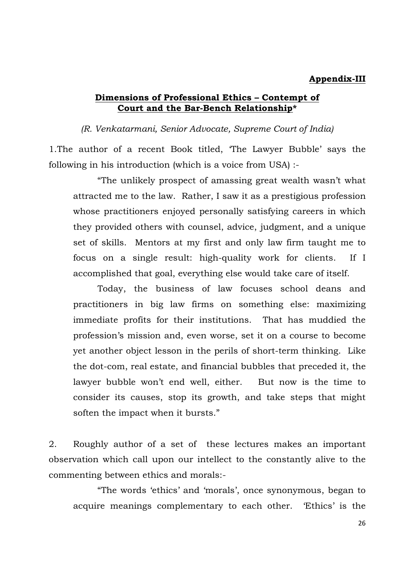#### **Appendix-III**

### **Dimensions of Professional Ethics – Contempt of Court and the Bar-Bench Relationship\***

*(R. Venkatarmani, Senior Advocate, Supreme Court of India)* 

1.The author of a recent Book titled, 'The Lawyer Bubble' says the following in his introduction (which is a voice from USA) :-

 "The unlikely prospect of amassing great wealth wasn't what attracted me to the law. Rather, I saw it as a prestigious profession whose practitioners enjoyed personally satisfying careers in which they provided others with counsel, advice, judgment, and a unique set of skills. Mentors at my first and only law firm taught me to focus on a single result: high-quality work for clients. If I accomplished that goal, everything else would take care of itself.

 Today, the business of law focuses school deans and practitioners in big law firms on something else: maximizing immediate profits for their institutions. That has muddied the profession's mission and, even worse, set it on a course to become yet another object lesson in the perils of short-term thinking. Like the dot-com, real estate, and financial bubbles that preceded it, the lawyer bubble won't end well, either. But now is the time to consider its causes, stop its growth, and take steps that might soften the impact when it bursts."

2. Roughly author of a set of these lectures makes an important observation which call upon our intellect to the constantly alive to the commenting between ethics and morals:-

 "The words 'ethics' and 'morals', once synonymous, began to acquire meanings complementary to each other. 'Ethics' is the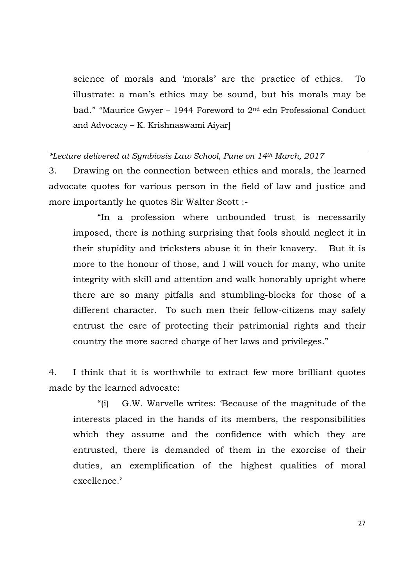science of morals and 'morals' are the practice of ethics. To illustrate: a man's ethics may be sound, but his morals may be bad." "Maurice Gwyer – 1944 Foreword to 2nd edn Professional Conduct and Advocacy – K. Krishnaswami Aiyar]

#### *\*Lecture delivered at Symbiosis Law School, Pune on 14th March, 2017*

3. Drawing on the connection between ethics and morals, the learned advocate quotes for various person in the field of law and justice and more importantly he quotes Sir Walter Scott :-

 "In a profession where unbounded trust is necessarily imposed, there is nothing surprising that fools should neglect it in their stupidity and tricksters abuse it in their knavery. But it is more to the honour of those, and I will vouch for many, who unite integrity with skill and attention and walk honorably upright where there are so many pitfalls and stumbling-blocks for those of a different character. To such men their fellow-citizens may safely entrust the care of protecting their patrimonial rights and their country the more sacred charge of her laws and privileges."

4. I think that it is worthwhile to extract few more brilliant quotes made by the learned advocate:

 "(i) G.W. Warvelle writes: 'Because of the magnitude of the interests placed in the hands of its members, the responsibilities which they assume and the confidence with which they are entrusted, there is demanded of them in the exorcise of their duties, an exemplification of the highest qualities of moral excellence.'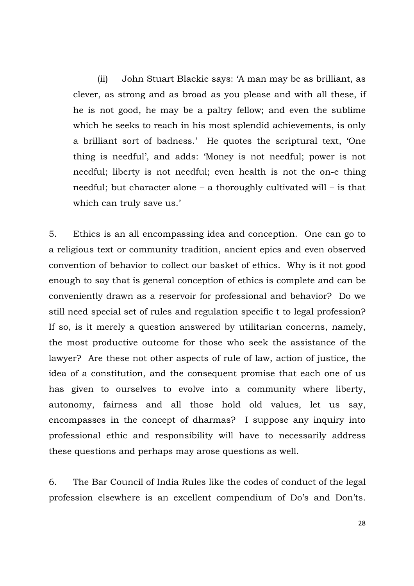(ii) John Stuart Blackie says: 'A man may be as brilliant, as clever, as strong and as broad as you please and with all these, if he is not good, he may be a paltry fellow; and even the sublime which he seeks to reach in his most splendid achievements, is only a brilliant sort of badness.' He quotes the scriptural text, 'One thing is needful', and adds: 'Money is not needful; power is not needful; liberty is not needful; even health is not the on-e thing needful; but character alone – a thoroughly cultivated will – is that which can truly save us.'

5. Ethics is an all encompassing idea and conception. One can go to a religious text or community tradition, ancient epics and even observed convention of behavior to collect our basket of ethics. Why is it not good enough to say that is general conception of ethics is complete and can be conveniently drawn as a reservoir for professional and behavior? Do we still need special set of rules and regulation specific t to legal profession? If so, is it merely a question answered by utilitarian concerns, namely, the most productive outcome for those who seek the assistance of the lawyer? Are these not other aspects of rule of law, action of justice, the idea of a constitution, and the consequent promise that each one of us has given to ourselves to evolve into a community where liberty, autonomy, fairness and all those hold old values, let us say, encompasses in the concept of dharmas? I suppose any inquiry into professional ethic and responsibility will have to necessarily address these questions and perhaps may arose questions as well.

6. The Bar Council of India Rules like the codes of conduct of the legal profession elsewhere is an excellent compendium of Do's and Don'ts.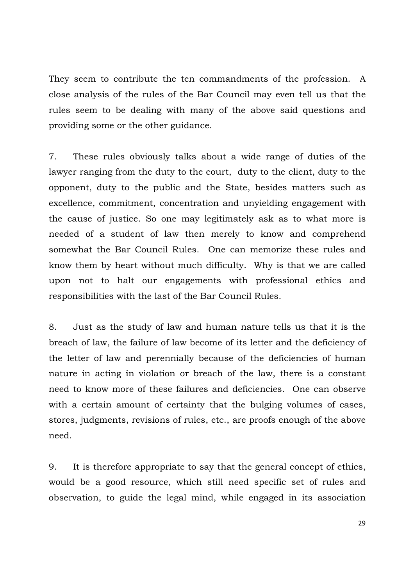They seem to contribute the ten commandments of the profession. A close analysis of the rules of the Bar Council may even tell us that the rules seem to be dealing with many of the above said questions and providing some or the other guidance.

7. These rules obviously talks about a wide range of duties of the lawyer ranging from the duty to the court, duty to the client, duty to the opponent, duty to the public and the State, besides matters such as excellence, commitment, concentration and unyielding engagement with the cause of justice. So one may legitimately ask as to what more is needed of a student of law then merely to know and comprehend somewhat the Bar Council Rules. One can memorize these rules and know them by heart without much difficulty. Why is that we are called upon not to halt our engagements with professional ethics and responsibilities with the last of the Bar Council Rules.

8. Just as the study of law and human nature tells us that it is the breach of law, the failure of law become of its letter and the deficiency of the letter of law and perennially because of the deficiencies of human nature in acting in violation or breach of the law, there is a constant need to know more of these failures and deficiencies. One can observe with a certain amount of certainty that the bulging volumes of cases, stores, judgments, revisions of rules, etc., are proofs enough of the above need.

9. It is therefore appropriate to say that the general concept of ethics, would be a good resource, which still need specific set of rules and observation, to guide the legal mind, while engaged in its association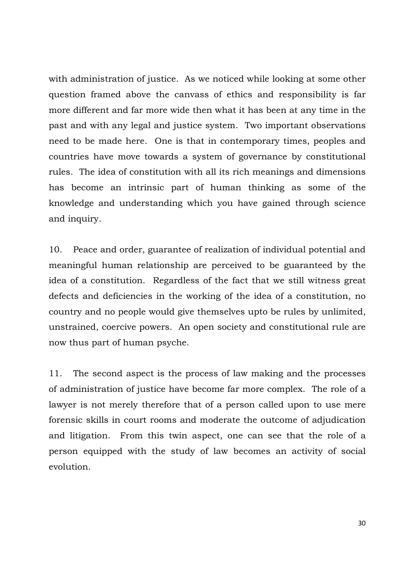with administration of justice. As we noticed while looking at some other question framed above the canvass of ethics and responsibility is far more different and far more wide then what it has been at any time in the past and with any legal and justice system. Two important observations need to be made here. One is that in contemporary times, peoples and countries have move towards a system of governance by constitutional rules. The idea of constitution with all its rich meanings and dimensions has become an intrinsic part of human thinking as some of the knowledge and understanding which you have gained through science and inquiry.

10. Peace and order, guarantee of realization of individual potential and meaningful human relationship are perceived to be guaranteed by the idea of a constitution. Regardless of the fact that we still witness great defects and deficiencies in the working of the idea of a constitution, no country and no people would give themselves upto be rules by unlimited, unstrained, coercive powers. An open society and constitutional rule are now thus part of human psyche.

11. The second aspect is the process of law making and the processes of administration of justice have become far more complex. The role of a lawyer is not merely therefore that of a person called upon to use mere forensic skills in court rooms and moderate the outcome of adjudication and litigation. From this twin aspect, one can see that the role of a person equipped with the study of law becomes an activity of social evolution.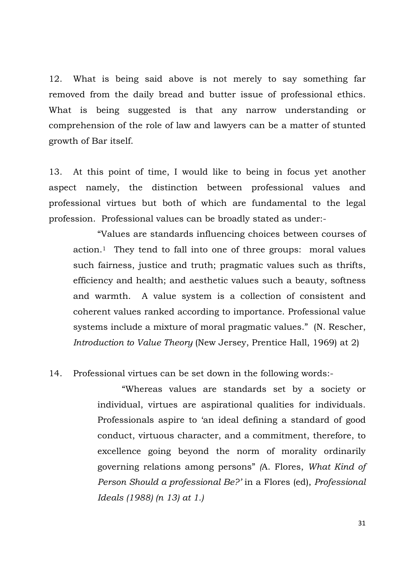12. What is being said above is not merely to say something far removed from the daily bread and butter issue of professional ethics. What is being suggested is that any narrow understanding or comprehension of the role of law and lawyers can be a matter of stunted growth of Bar itself.

13. At this point of time, I would like to being in focus yet another aspect namely, the distinction between professional values and professional virtues but both of which are fundamental to the legal profession. Professional values can be broadly stated as under:-

 "Values are standards influencing choices between courses of action.1 They tend to fall into one of three groups: moral values such fairness, justice and truth; pragmatic values such as thrifts, efficiency and health; and aesthetic values such a beauty, softness and warmth. A value system is a collection of consistent and coherent values ranked according to importance. Professional value systems include a mixture of moral pragmatic values." (N. Rescher, *Introduction to Value Theory* (New Jersey, Prentice Hall, 1969) at 2)

### 14. Professional virtues can be set down in the following words:-

 "Whereas values are standards set by a society or individual, virtues are aspirational qualities for individuals. Professionals aspire to 'an ideal defining a standard of good conduct, virtuous character, and a commitment, therefore, to excellence going beyond the norm of morality ordinarily governing relations among persons" *(*A. Flores, *What Kind of Person Should a professional Be?'* in a Flores (ed), *Professional Ideals (1988) (n 13) at 1.)*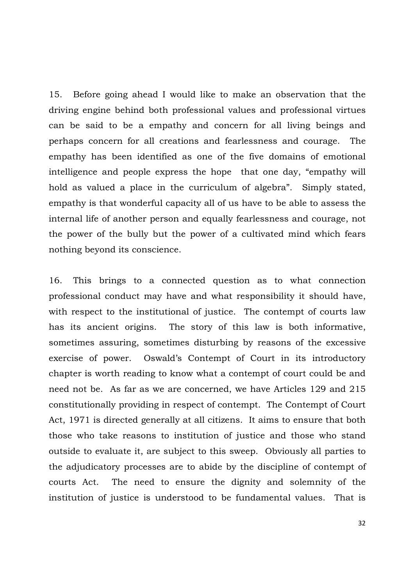15. Before going ahead I would like to make an observation that the driving engine behind both professional values and professional virtues can be said to be a empathy and concern for all living beings and perhaps concern for all creations and fearlessness and courage. The empathy has been identified as one of the five domains of emotional intelligence and people express the hope that one day, "empathy will hold as valued a place in the curriculum of algebra". Simply stated, empathy is that wonderful capacity all of us have to be able to assess the internal life of another person and equally fearlessness and courage, not the power of the bully but the power of a cultivated mind which fears nothing beyond its conscience.

16. This brings to a connected question as to what connection professional conduct may have and what responsibility it should have, with respect to the institutional of justice. The contempt of courts law has its ancient origins. The story of this law is both informative, sometimes assuring, sometimes disturbing by reasons of the excessive exercise of power. Oswald's Contempt of Court in its introductory chapter is worth reading to know what a contempt of court could be and need not be. As far as we are concerned, we have Articles 129 and 215 constitutionally providing in respect of contempt. The Contempt of Court Act, 1971 is directed generally at all citizens. It aims to ensure that both those who take reasons to institution of justice and those who stand outside to evaluate it, are subject to this sweep. Obviously all parties to the adjudicatory processes are to abide by the discipline of contempt of courts Act. The need to ensure the dignity and solemnity of the institution of justice is understood to be fundamental values. That is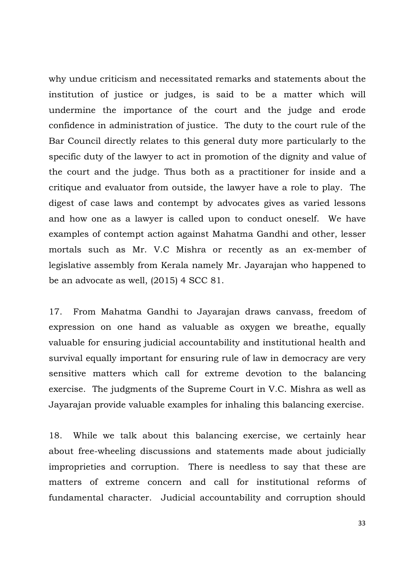why undue criticism and necessitated remarks and statements about the institution of justice or judges, is said to be a matter which will undermine the importance of the court and the judge and erode confidence in administration of justice. The duty to the court rule of the Bar Council directly relates to this general duty more particularly to the specific duty of the lawyer to act in promotion of the dignity and value of the court and the judge. Thus both as a practitioner for inside and a critique and evaluator from outside, the lawyer have a role to play. The digest of case laws and contempt by advocates gives as varied lessons and how one as a lawyer is called upon to conduct oneself. We have examples of contempt action against Mahatma Gandhi and other, lesser mortals such as Mr. V.C Mishra or recently as an ex-member of legislative assembly from Kerala namely Mr. Jayarajan who happened to be an advocate as well, (2015) 4 SCC 81.

17. From Mahatma Gandhi to Jayarajan draws canvass, freedom of expression on one hand as valuable as oxygen we breathe, equally valuable for ensuring judicial accountability and institutional health and survival equally important for ensuring rule of law in democracy are very sensitive matters which call for extreme devotion to the balancing exercise. The judgments of the Supreme Court in V.C. Mishra as well as Jayarajan provide valuable examples for inhaling this balancing exercise.

18. While we talk about this balancing exercise, we certainly hear about free-wheeling discussions and statements made about judicially improprieties and corruption. There is needless to say that these are matters of extreme concern and call for institutional reforms of fundamental character. Judicial accountability and corruption should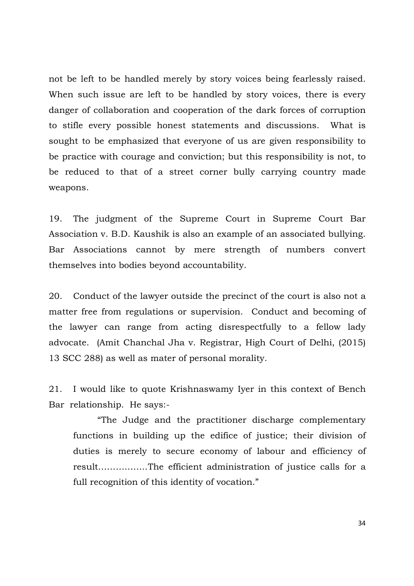not be left to be handled merely by story voices being fearlessly raised. When such issue are left to be handled by story voices, there is every danger of collaboration and cooperation of the dark forces of corruption to stifle every possible honest statements and discussions. What is sought to be emphasized that everyone of us are given responsibility to be practice with courage and conviction; but this responsibility is not, to be reduced to that of a street corner bully carrying country made weapons.

19. The judgment of the Supreme Court in Supreme Court Bar Association v. B.D. Kaushik is also an example of an associated bullying. Bar Associations cannot by mere strength of numbers convert themselves into bodies beyond accountability.

20. Conduct of the lawyer outside the precinct of the court is also not a matter free from regulations or supervision. Conduct and becoming of the lawyer can range from acting disrespectfully to a fellow lady advocate. (Amit Chanchal Jha v. Registrar, High Court of Delhi, (2015) 13 SCC 288) as well as mater of personal morality.

21. I would like to quote Krishnaswamy Iyer in this context of Bench Bar relationship. He says:-

 "The Judge and the practitioner discharge complementary functions in building up the edifice of justice; their division of duties is merely to secure economy of labour and efficiency of result……………..The efficient administration of justice calls for a full recognition of this identity of vocation."